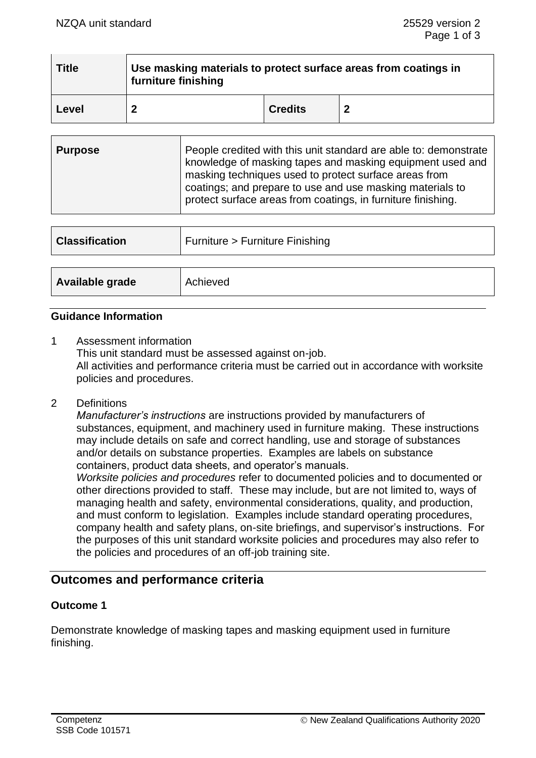| <b>Title</b> | Use masking materials to protect surface areas from coatings in<br>furniture finishing |                |                  |  |
|--------------|----------------------------------------------------------------------------------------|----------------|------------------|--|
| Level        |                                                                                        | <b>Credits</b> | $\boldsymbol{2}$ |  |

| <b>Purpose</b> | People credited with this unit standard are able to: demonstrate<br>knowledge of masking tapes and masking equipment used and<br>masking techniques used to protect surface areas from<br>coatings; and prepare to use and use masking materials to |
|----------------|-----------------------------------------------------------------------------------------------------------------------------------------------------------------------------------------------------------------------------------------------------|
|                | protect surface areas from coatings, in furniture finishing.                                                                                                                                                                                        |

| <b>Classification</b> | Furniture > Furniture Finishing |
|-----------------------|---------------------------------|
| Available grade       | Achieved                        |

#### **Guidance Information**

- 1 Assessment information This unit standard must be assessed against on-job. All activities and performance criteria must be carried out in accordance with worksite policies and procedures.
- 2 Definitions

*Manufacturer's instructions* are instructions provided by manufacturers of substances, equipment, and machinery used in furniture making. These instructions may include details on safe and correct handling, use and storage of substances and/or details on substance properties. Examples are labels on substance containers, product data sheets, and operator's manuals.

*Worksite policies and procedures* refer to documented policies and to documented or other directions provided to staff. These may include, but are not limited to, ways of managing health and safety, environmental considerations, quality, and production, and must conform to legislation. Examples include standard operating procedures, company health and safety plans, on-site briefings, and supervisor's instructions. For the purposes of this unit standard worksite policies and procedures may also refer to the policies and procedures of an off-job training site.

# **Outcomes and performance criteria**

## **Outcome 1**

Demonstrate knowledge of masking tapes and masking equipment used in furniture finishing.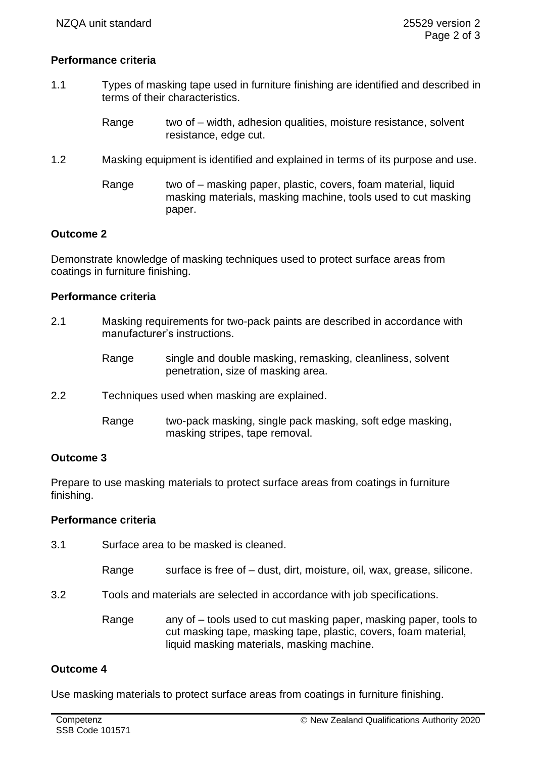## **Performance criteria**

- 1.1 Types of masking tape used in furniture finishing are identified and described in terms of their characteristics.
	- Range two of width, adhesion qualities, moisture resistance, solvent resistance, edge cut.
- 1.2 Masking equipment is identified and explained in terms of its purpose and use.
	- Range two of masking paper, plastic, covers, foam material, liquid masking materials, masking machine, tools used to cut masking paper.

#### **Outcome 2**

Demonstrate knowledge of masking techniques used to protect surface areas from coatings in furniture finishing.

#### **Performance criteria**

- 2.1 Masking requirements for two-pack paints are described in accordance with manufacturer's instructions.
	- Range single and double masking, remasking, cleanliness, solvent penetration, size of masking area.
- 2.2 Techniques used when masking are explained.
	- Range two-pack masking, single pack masking, soft edge masking, masking stripes, tape removal.

## **Outcome 3**

Prepare to use masking materials to protect surface areas from coatings in furniture finishing.

#### **Performance criteria**

- 3.1 Surface area to be masked is cleaned.
	- Range surface is free of  $-$  dust, dirt, moisture, oil, wax, grease, silicone.
- 3.2 Tools and materials are selected in accordance with job specifications.
	- Range any of tools used to cut masking paper, masking paper, tools to cut masking tape, masking tape, plastic, covers, foam material, liquid masking materials, masking machine.

## **Outcome 4**

Use masking materials to protect surface areas from coatings in furniture finishing.